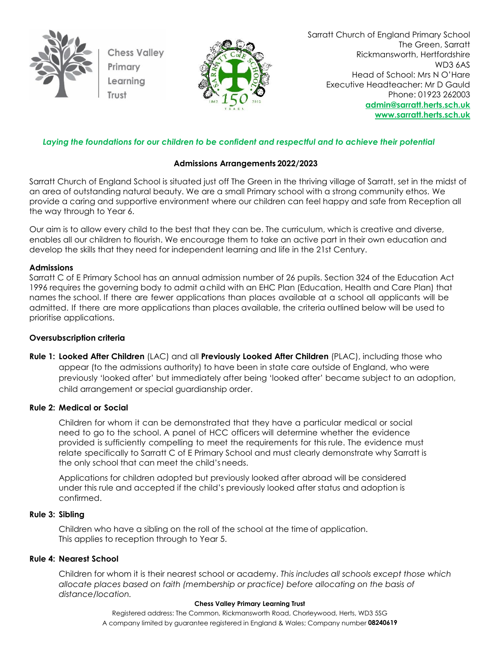

**Chess Valley** Primary Learning Trust



Sarratt Church of England Primary School The Green, Sarratt Rickmansworth, Hertfordshire WD3 6AS Head of School: Mrs N O'Hare Executive Headteacher: Mr D Gauld Phone: 01923 262003 **[admin@sarratt.herts.sch.uk](mailto:admin@sarratt.herts.sch.uk) [www.sarratt.herts.sch.uk](http://www.sarratt.herts.sch.uk/)**

# *Laying the foundations for our children to be confident and respectful and to achieve their potential*

# **Admissions Arrangements 2022/2023**

Sarratt Church of England School is situated just off The Green in the thriving village of Sarratt, set in the midst of an area of outstanding natural beauty. We are a small Primary school with a strong community ethos. We provide a caring and supportive environment where our children can feel happy and safe from Reception all the way through to Year 6.

Our aim is to allow every child to the best that they can be. The curriculum, which is creative and diverse, enables all our children to flourish. We encourage them to take an active part in their own education and develop the skills that they need for independent learning and life in the 21st Century.

# **Admissions**

Sarratt C of E Primary School has an annual admission number of 26 pupils. Section 324 of the Education Act 1996 requires the governing body to admit achild with an EHC Plan (Education, Health and Care Plan) that names the school. If there are fewer applications than places available at a school all applicants will be admitted. If there are more applications than places available, the criteria outlined below will be used to prioritise applications.

# **Oversubscription criteria**

**Rule 1: Looked After Children** (LAC) and all **Previously Looked After Children** (PLAC), including those who appear (to the admissions authority) to have been in state care outside of England, who were previously 'looked after' but immediately after being 'looked after' became subject to an adoption, child arrangement or special guardianship order.

# **Rule 2: Medical or Social**

Children for whom it can be demonstrated that they have a particular medical or social need to go to the school. A panel of HCC officers will determine whether the evidence provided is sufficiently compelling to meet the requirements for this rule. The evidence must relate specifically to Sarratt C of E Primary School and must clearly demonstrate why Sarratt is the only school that can meet the child's needs.

Applications for children adopted but previously looked after abroad will be considered under this rule and accepted if the child's previously looked after status and adoption is confirmed.

### **Rule 3: Sibling**

Children who have a sibling on the roll of the school at the time of application. This applies to reception through to Year 5.

### **Rule 4: Nearest School**

Children for whom it is their nearest school or academy. *This includes all schools except those which allocate places based on faith (membership or practice) before allocating on the basis of distance/location.*

#### **Chess Valley Primary Learning Trust**

Registered address: The Common, Rickmansworth Road, Chorleywood, Herts, WD3 5SG A company limited by guarantee registered in England & Wales; Company number **08240619**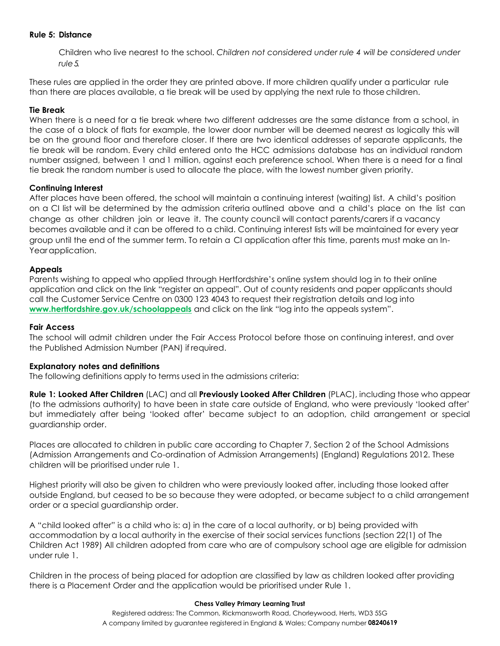# **Rule 5: Distance**

Children who live nearest to the school. *Children not considered under rule 4 will be considered under rule5.*

These rules are applied in the order they are printed above. If more children qualify under a particular rule than there are places available, a tie break will be used by applying the next rule to those children.

### **Tie Break**

When there is a need for a tie break where two different addresses are the same distance from a school, in the case of a block of flats for example, the lower door number will be deemed nearest as logically this will be on the ground floor and therefore closer. If there are two identical addresses of separate applicants, the tie break will be random. Every child entered onto the HCC admissions database has an individual random number assigned, between 1 and 1 million, against each preference school. When there is a need for a final tie break the random number is used to allocate the place, with the lowest number given priority.

# **Continuing Interest**

After places have been offered, the school will maintain a continuing interest (waiting) list. A child's position on a CI list will be determined by the admission criteria outlined above and a child's place on the list can change as other children join or leave it. The county council will contact parents/carers if a vacancy becomes available and it can be offered to a child. Continuing interest lists will be maintained for every year group until the end of the summer term. To retain a CI application after this time, parents must make an In-Yearapplication.

# **Appeals**

Parents wishing to appeal who applied through Hertfordshire's online system should log in to their online application and click on the link "register an appeal". Out of county residents and paper applicants should call the Customer Service Centre on 0300 123 4043 to request their registration details and log into **[www.hertfordshire.gov.uk/schoolappeals](http://www.hertfordshire.gov.uk/schoolappeals)** and click on the link "log into the appeals system".

### **Fair Access**

The school will admit children under the Fair Access Protocol before those on continuing interest, and over the Published Admission Number (PAN) if required.

### **Explanatory notes and definitions**

The following definitions apply to terms used in the admissions criteria:

**Rule 1: Looked After Children** (LAC) and all **Previously Looked After Children** (PLAC), including those who appear (to the admissions authority) to have been in state care outside of England, who were previously 'looked after' but immediately after being 'looked after' became subject to an adoption, child arrangement or special guardianship order.

Places are allocated to children in public care according to Chapter 7, Section 2 of the School Admissions (Admission Arrangements and Co-ordination of Admission Arrangements) (England) Regulations 2012. These children will be prioritised under rule 1.

Highest priority will also be given to children who were previously looked after, including those looked after outside England, but ceased to be so because they were adopted, or became subject to a child arrangement order or a special guardianship order.

A "child looked after" is a child who is: a) in the care of a local authority, or b) being provided with accommodation by a local authority in the exercise of their social services functions (section 22(1) of The Children Act 1989) All children adopted from care who are of compulsory school age are eligible for admission under rule 1.

Children in the process of being placed for adoption are classified by law as children looked after providing there is a Placement Order and the application would be prioritised under Rule 1.

#### **Chess Valley Primary Learning Trust**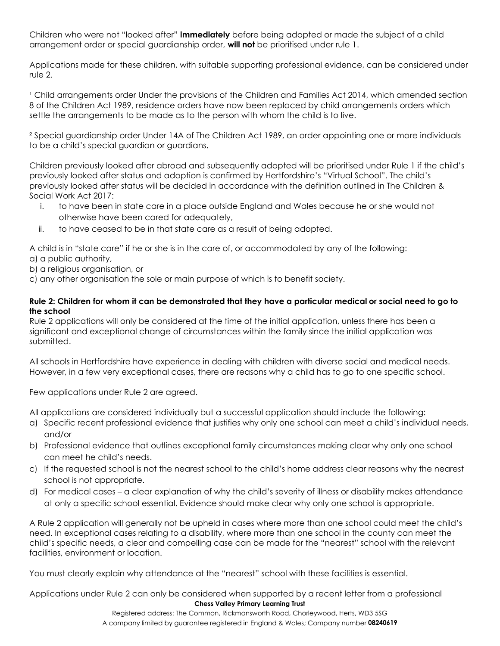Children who were not "looked after" **immediately** before being adopted or made the subject of a child arrangement order or special guardianship order, **will not** be prioritised under rule 1.

Applications made for these children, with suitable supporting professional evidence, can be considered under rule 2.

<sup>1</sup> Child arrangements order Under the provisions of the Children and Families Act 2014, which amended section 8 of the Children Act 1989, residence orders have now been replaced by child arrangements orders which settle the arrangements to be made as to the person with whom the child is to live.

² Special guardianship order Under 14A of The Children Act 1989, an order appointing one or more individuals to be a child's special guardian or guardians.

Children previously looked after abroad and subsequently adopted will be prioritised under Rule 1 if the child's previously looked after status and adoption is confirmed by Hertfordshire's "Virtual School". The child's previously looked after status will be decided in accordance with the definition outlined in The Children & Social Work Act 2017:

- i. to have been in state care in a place outside England and Wales because he or she would not otherwise have been cared for adequately,
- ii. to have ceased to be in that state care as a result of being adopted.

A child is in "state care" if he or she is in the care of, or accommodated by any of the following:

- a) a public authority,
- b) a religious organisation, or
- c) any other organisation the sole or main purpose of which is to benefit society.

# **Rule 2: Children for whom it can be demonstrated that they have a particular medical or social need to go to the school**

Rule 2 applications will only be considered at the time of the initial application, unless there has been a significant and exceptional change of circumstances within the family since the initial application was submitted.

All schools in Hertfordshire have experience in dealing with children with diverse social and medical needs. However, in a few very exceptional cases, there are reasons why a child has to go to one specific school.

Few applications under Rule 2 are agreed.

All applications are considered individually but a successful application should include the following:

- a) Specific recent professional evidence that justifies why only one school can meet a child's individual needs, and/or
- b) Professional evidence that outlines exceptional family circumstances making clear why only one school can meet he child's needs.
- c) If the requested school is not the nearest school to the child's home address clear reasons why the nearest school is not appropriate.
- d) For medical cases a clear explanation of why the child's severity of illness or disability makes attendance at only a specific school essential. Evidence should make clear why only one school is appropriate.

A Rule 2 application will generally not be upheld in cases where more than one school could meet the child's need. In exceptional cases relating to a disability, where more than one school in the county can meet the child's specific needs, a clear and compelling case can be made for the "nearest" school with the relevant facilities, environment or location.

You must clearly explain why attendance at the "nearest" school with these facilities is essential.

**Chess Valley Primary Learning Trust** Applications under Rule 2 can only be considered when supported by a recent letter from a professional

> Registered address: The Common, Rickmansworth Road, Chorleywood, Herts, WD3 5SG A company limited by guarantee registered in England & Wales; Company number **08240619**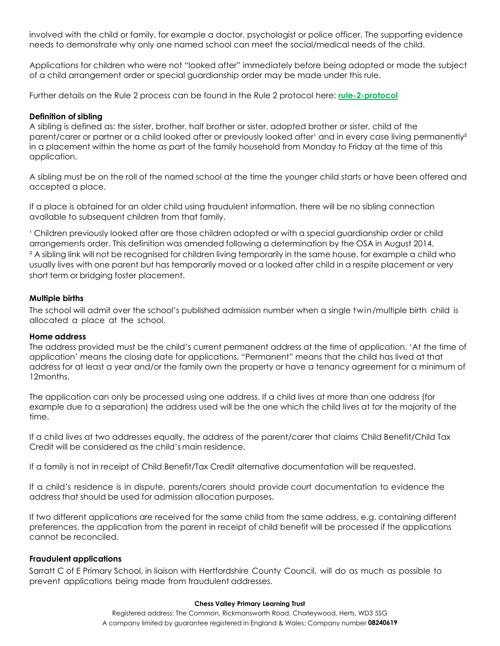involved with the child or family, for example a doctor, psychologist or police officer. The supporting evidence needs to demonstrate why only one named school can meet the social/medical needs of the child.

Applications for children who were not "looked after" immediately before being adopted or made the subject of a child arrangement order or special guardianship order may be made under this rule.

Further details on the Rule 2 process can be found in the Rule 2 protocol here: **[rule-2-protocol](https://christchurchschoolhertssch-my.sharepoint.com/personal/ceo_chessvalleyplt_org_uk/Documents/Sarratt/Admissions/rule-2-protocol)**

# **Definition of sibling**

A sibling is defined as: the sister, brother, half brother or sister, adopted brother or sister, child of the parent/carer or partner or a child looked after or previously looked after<sup>1</sup> and in every case living permanently<sup>2</sup> in a placement within the home as part of the family household from Monday to Friday at the time of this application.

A sibling must be on the roll of the named school at the time the younger child starts or have been offered and accepted a place.

If a place is obtained for an older child using fraudulent information, there will be no sibling connection available to subsequent children from that family.

' Children previously looked after are those children adopted or with a special guardianship order or child arrangements order. This definition was amended following a determination by the OSA in August 2014. <sup>2</sup> A sibling link will not be recognised for children living temporarily in the same house, for example a child who usually lives with one parent but has temporarily moved or a looked after child in a respite placement or very short term or bridging foster placement.

# **Multiple births**

The school will admit over the school's published admission number when a single twin/multiple birth child is allocated a place at the school.

# **Home address**

The address provided must be the child's current permanent address at the time of application. 'At the time of application' means the closing date for applications. "Permanent" means that the child has lived at that address for at least a year and/or the family own the property or have a tenancy agreement for a minimum of 12months.

The application can only be processed using one address. If a child lives at more than one address (for example due to a separation) the address used will be the one which the child lives at for the majority of the time.

If a child lives at two addresses equally, the address of the parent/carer that claims Child Benefit/Child Tax Credit will be considered as the child's main residence.

If a family is not in receipt of Child Benefit/Tax Credit alternative documentation will be requested.

If a child's residence is in dispute, parents/carers should provide court documentation to evidence the address that should be used for admission allocation purposes.

If two different applications are received for the same child from the same address, e.g. containing different preferences, the application from the parent in receipt of child benefit will be processed if the applications cannot be reconciled.

### **Fraudulent applications**

Sarratt C of E Primary School, in liaison with Hertfordshire County Council, will do as much as possible to prevent applications being made from fraudulent addresses.

#### **Chess Valley Primary Learning Trust**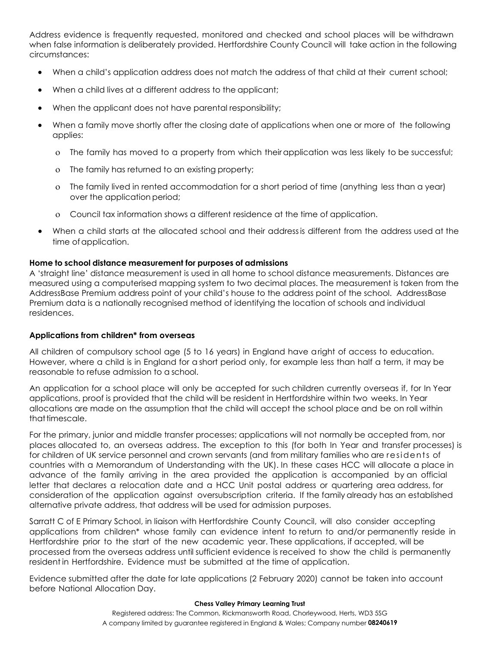Address evidence is frequently requested, monitored and checked and school places will be withdrawn when false information is deliberately provided. Hertfordshire County Council will take action in the following circumstances:

- When a child's application address does not match the address of that child at their current school;
- When a child lives at a different address to the applicant;
- When the applicant does not have parental responsibility;
- When a family move shortly after the closing date of applications when one or more of the following applies:
	- The family has moved to a property from which theirapplication was less likely to be successful;
	- The family has returned to an existing property;
	- The family lived in rented accommodation for a short period of time (anything less than a year) over the application period;
	- Council tax information shows a different residence at the time of application.
- When a child starts at the allocated school and their addressis different from the address used at the time of application.

# **Home to school distance measurement for purposes of admissions**

A 'straight line' distance measurement is used in all home to school distance measurements. Distances are measured using a computerised mapping system to two decimal places. The measurement is taken from the AddressBase Premium address point of your child's house to the address point of the school. AddressBase Premium data is a nationally recognised method of identifying the location of schools and individual residences.

# **Applications from children\* from overseas**

All children of compulsory school age (5 to 16 years) in England have aright of access to education. However, where a child is in England for a short period only, for example less than half a term, it may be reasonable to refuse admission to a school.

An application for a school place will only be accepted for such children currently overseas if, for In Year applications, proof is provided that the child will be resident in Hertfordshire within two weeks. In Year allocations are made on the assumption that the child will accept the school place and be on roll within that timescale.

For the primary, junior and middle transfer processes; applications will not normally be accepted from, nor places allocated to, an overseas address. The exception to this (for both In Year and transfer processes) is for children of UK service personnel and crown servants (and from military families who are residents of countries with a Memorandum of Understanding with the UK). In these cases HCC will allocate a place in advance of the family arriving in the area provided the application is accompanied by an official letter that declares a relocation date and a HCC Unit postal address or quartering area address, for consideration of the application against oversubscription criteria. If the family already has an established alternative private address, that address will be used for admission purposes.

Sarratt C of E Primary School, in liaison with Hertfordshire County Council, will also consider accepting applications from children\* whose family can evidence intent to return to and/or permanently reside in Hertfordshire prior to the start of the new academic year. These applications, if accepted, will be processed from the overseas address until sufficient evidence is received to show the child is permanently resident in Hertfordshire. Evidence must be submitted at the time of application.

Evidence submitted after the date for late applications (2 February 2020) cannot be taken into account before National Allocation Day.

#### **Chess Valley Primary Learning Trust**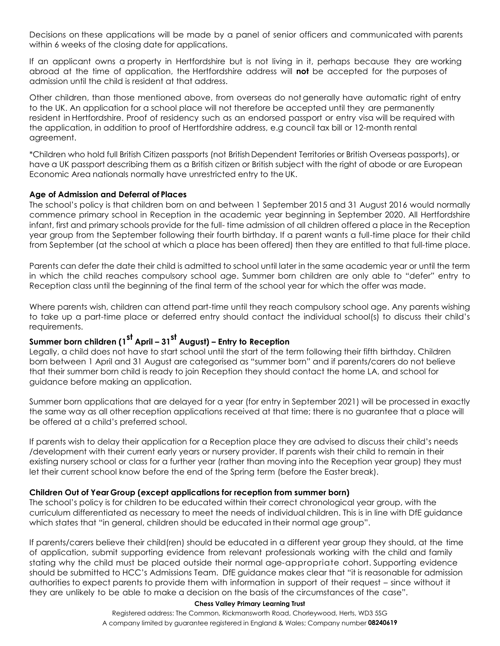Decisions on these applications will be made by a panel of senior officers and communicated with parents within 6 weeks of the closing date for applications.

If an applicant owns a property in Hertfordshire but is not living in it, perhaps because they are working abroad at the time of application, the Hertfordshire address will **not** be accepted for the purposes of admission until the child is resident at that address.

Other children, than those mentioned above, from overseas do not generally have automatic right of entry to the UK. An application for a school place will not therefore be accepted until they are permanently resident in Hertfordshire. Proof of residency such as an endorsed passport or entry visa will be required with the application, in addition to proof of Hertfordshire address, e.g council tax bill or 12-month rental agreement.

\*Children who hold full British Citizen passports (not British Dependent Territories or British Overseas passports), or have a UK passport describing them as a British citizen or British subject with the right of abode or are European Economic Area nationals normally have unrestricted entry to the UK.

# **Age of Admission and Deferral of Places**

The school's policy is that children born on and between 1 September 2015 and 31 August 2016 would normally commence primary school in Reception in the academic year beginning in September 2020. All Hertfordshire infant, first and primary schools provide for the full- time admission of all children offered a place in the Reception year group from the September following their fourth birthday. If a parent wants a full-time place for their child from September (at the school at which a place has been offered) then they are entitled to that full-time place.

Parents can defer the date their child is admitted to school until later in the same academic year or until the term in which the child reaches compulsory school age. Summer born children are only able to "defer" entry to Reception class until the beginning of the final term of the school year for which the offer was made.

Where parents wish, children can attend part-time until they reach compulsory school age. Any parents wishing to take up a part-time place or deferred entry should contact the individual school(s) to discuss their child's requirements.

# **Summer born children (1st April – 31st August) – Entry to Reception**

Legally, a child does not have to start school until the start of the term following their fifth birthday. Children born between 1 April and 31 August are categorised as "summer born" and if parents/carers do not believe that their summer born child is ready to join Reception they should contact the home LA, and school for guidance before making an application.

Summer born applications that are delayed for a year (for entry in September 2021) will be processed in exactly the same way as all other reception applications received at that time; there is no guarantee that a place will be offered at a child's preferred school.

If parents wish to delay their application for a Reception place they are advised to discuss their child's needs /development with their current early years or nursery provider. If parents wish their child to remain in their existing nursery school or class for a further year (rather than moving into the Reception year group) they must let their current school know before the end of the Spring term (before the Easter break).

# **Children Out of Year Group (except applications for reception from summer born)**

The school's policy is for children to be educated within their correct chronological year group, with the curriculum differentiated as necessary to meet the needs of individualchildren. This is in line with DfE guidance which states that "in general, children should be educated in their normal age group".

If parents/carers believe their child(ren) should be educated in a different year group they should, at the time of application, submit supporting evidence from relevant professionals working with the child and family stating why the child must be placed outside their normal age-appropriate cohort. Supporting evidence should be submitted to HCC's Admissions Team. DfE guidance makes clear that "it is reasonable for admission authorities to expect parents to provide them with information in support of their request – since without it they are unlikely to be able to make a decision on the basis of the circumstances of the case".

#### **Chess Valley Primary Learning Trust**

Registered address: The Common, Rickmansworth Road, Chorleywood, Herts, WD3 5SG A company limited by guarantee registered in England & Wales; Company number **08240619**